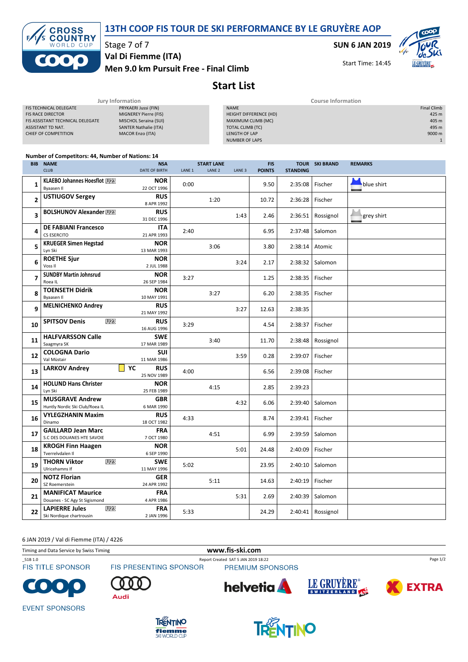13TH COOP FIS TOUR DE SKI PERFORMANCE BY LE GRUYÈRE AOP



Stage 7 of 7

Men 9.0 km Pursuit Free - Final Climb Val Di Fiemme (ITA)

SUN 6 JAN 2019



Start Time: 14:45

## Start List

|                                  | Jury Information             |                        | <b>Course Information</b> |  |  |  |
|----------------------------------|------------------------------|------------------------|---------------------------|--|--|--|
| <b>FIS TECHNICAL DELEGATE</b>    | PRYKAERI Jussi (FIN)         | <b>NAME</b>            | <b>Final Climb</b>        |  |  |  |
| <b>FIS RACE DIRECTOR</b>         | MIGNEREY Pierre (FIS)        | HEIGHT DIFFERENCE (HD) | 425 m                     |  |  |  |
| FIS ASSISTANT TECHNICAL DELEGATE | MISCHOL Seraina (SUI)        | MAXIMUM CLIMB (MC)     | 405 m                     |  |  |  |
| ASSISTANT TD NAT.                | <b>SANTER Nathalie (ITA)</b> | TOTAL CLIMB (TC)       | 495 m                     |  |  |  |
| CHIEF OF COMPETITION             | <b>MACOR Enzo (ITA)</b>      | LENGTH OF LAP          | 9000 m                    |  |  |  |
|                                  |                              | <b>NUMBER OF LAPS</b>  |                           |  |  |  |
|                                  |                              |                        |                           |  |  |  |

## Number of Competitors: 44, Number of Nations: 14

| <b>BIB</b>     | <b>NAME</b><br><b>CLUB</b>                                           | <b>NSA</b><br>DATE OF BIRTH     | LANE <sub>1</sub> | <b>START LANE</b><br>LANE <sub>2</sub> | LANE <sub>3</sub> | <b>FIS</b><br><b>POINTS</b> | <b>STANDING</b> | <b>TOUR SKI BRAND</b> | <b>REMARKS</b> |
|----------------|----------------------------------------------------------------------|---------------------------------|-------------------|----------------------------------------|-------------------|-----------------------------|-----------------|-----------------------|----------------|
|                | KLAEBO Johannes Hoesflot [U28]                                       | <b>NOR</b>                      |                   |                                        |                   |                             |                 |                       |                |
| $\mathbf{1}$   | Byaasen II                                                           | 22 OCT 1996                     | 0:00              |                                        |                   | 9.50                        | 2:35:08         | Fischer               | blue shirt     |
| $\overline{2}$ | <b>USTIUGOV Sergey</b>                                               | <b>RUS</b>                      |                   | 1:20                                   |                   | 10.72                       | 2:36:28         | Fischer               |                |
|                |                                                                      | 8 APR 1992                      |                   |                                        |                   |                             |                 |                       |                |
| 3              | <b>BOLSHUNOV Alexander W28</b>                                       | <b>RUS</b><br>31 DEC 1996       |                   |                                        | 1:43              | 2.46                        | 2:36:51         | Rossignol             | grey shirt     |
| 4              | <b>DE FABIANI Francesco</b><br>CS ESERCITO                           | <b>ITA</b><br>21 APR 1993       | 2:40              |                                        |                   | 6.95                        | 2:37:48         | Salomon               |                |
| 5              | <b>KRUEGER Simen Hegstad</b><br>Lyn Ski                              | <b>NOR</b><br>13 MAR 1993       |                   | 3:06                                   |                   | 3.80                        | 2:38:14         | Atomic                |                |
| 6              | <b>ROETHE Sjur</b><br>Voss II                                        | <b>NOR</b><br>2 JUL 1988        |                   |                                        | 3:24              | 2.17                        | 2:38:32         | Salomon               |                |
| 7              | <b>SUNDBY Martin Johnsrud</b><br>Roea IL                             | <b>NOR</b><br>26 SEP 1984       | 3:27              |                                        |                   | 1.25                        | 2:38:35         | Fischer               |                |
| 8              | <b>TOENSETH Didrik</b><br>Byaasen Il                                 | <b>NOR</b><br>10 MAY 1991       |                   | 3:27                                   |                   | 6.20                        | 2:38:35         | Fischer               |                |
| 9              | <b>MELNICHENKO Andrey</b>                                            | <b>RUS</b><br>21 MAY 1992       |                   |                                        | 3:27              | 12.63                       | 2:38:35         |                       |                |
| 10             | U <sub>23</sub><br><b>SPITSOV Denis</b>                              | <b>RUS</b><br>16 AUG 1996       | 3:29              |                                        |                   | 4.54                        | 2:38:37         | Fischer               |                |
| 11             | <b>HALFVARSSON Calle</b><br>Saagmyra SK                              | <b>SWE</b><br>17 MAR 1989       |                   | 3:40                                   |                   | 11.70                       | 2:38:48         | Rossignol             |                |
| 12             | <b>COLOGNA Dario</b><br>Val Müstair                                  | <b>SUI</b><br>11 MAR 1986       |                   |                                        | 3:59              | 0.28                        | 2:39:07         | Fischer               |                |
| 13             | <b>LARKOV Andrey</b>                                                 | YC<br><b>RUS</b><br>25 NOV 1989 | 4:00              |                                        |                   | 6.56                        | 2:39:08         | Fischer               |                |
| 14             | <b>HOLUND Hans Christer</b><br>Lyn Ski                               | <b>NOR</b><br>25 FEB 1989       |                   | 4:15                                   |                   | 2.85                        | 2:39:23         |                       |                |
| 15             | <b>MUSGRAVE Andrew</b><br>Huntly Nordic Ski Club/Roea IL             | <b>GBR</b><br>6 MAR 1990        |                   |                                        | 4:32              | 6.06                        | 2:39:40         | Salomon               |                |
| 16             | <b>VYLEGZHANIN Maxim</b><br>Dinamo                                   | <b>RUS</b><br>18 OCT 1982       | 4:33              |                                        |                   | 8.74                        | 2:39:41         | Fischer               |                |
| 17             | <b>GAILLARD Jean Marc</b><br>S.C DES DOUANES HTE SAVOIE              | <b>FRA</b><br>7 OCT 1980        |                   | 4:51                                   |                   | 6.99                        | 2:39:59         | Salomon               |                |
| 18             | <b>KROGH Finn Haagen</b><br>Tverrelydalen II                         | <b>NOR</b><br>6 SEP 1990        |                   |                                        | 5:01              | 24.48                       | 2:40:09         | Fischer               |                |
| 19             | U <sub>23</sub><br><b>THORN Viktor</b><br>Ulricehamns If             | <b>SWE</b><br>11 MAY 1996       | 5:02              |                                        |                   | 23.95                       | 2:40:10         | Salomon               |                |
| 20             | <b>NOTZ Florian</b><br>SZ Roemerstein                                | <b>GER</b><br>24 APR 1992       |                   | 5:11                                   |                   | 14.63                       | 2:40:19         | Fischer               |                |
| 21             | <b>MANIFICAT Maurice</b><br>Douanes - SC Agy St Sigismond            | <b>FRA</b><br>4 APR 1986        |                   |                                        | 5:31              | 2.69                        | 2:40:39         | Salomon               |                |
| 22             | <b>LAPIERRE Jules</b><br>U <sub>23</sub><br>Ski Nordique chartrousin | <b>FRA</b><br>2 JAN 1996        | 5:33              |                                        |                   | 24.29                       |                 | $2:40:41$ Rossignol   |                |

6 JAN 2019 / Val di Fiemme (ITA) / 4226

Timing and Data Service by Swiss Timing www.fis-ski.com

**FIS TITLE SPONSOR** 

\_51B 1.0 Report Created SAT 5 JAN 2019 18:22

FIS PRESENTING SPONSOR

PREMIUM SPONSORS







Page 1/2

**EVENT SPONSORS** 



Audi